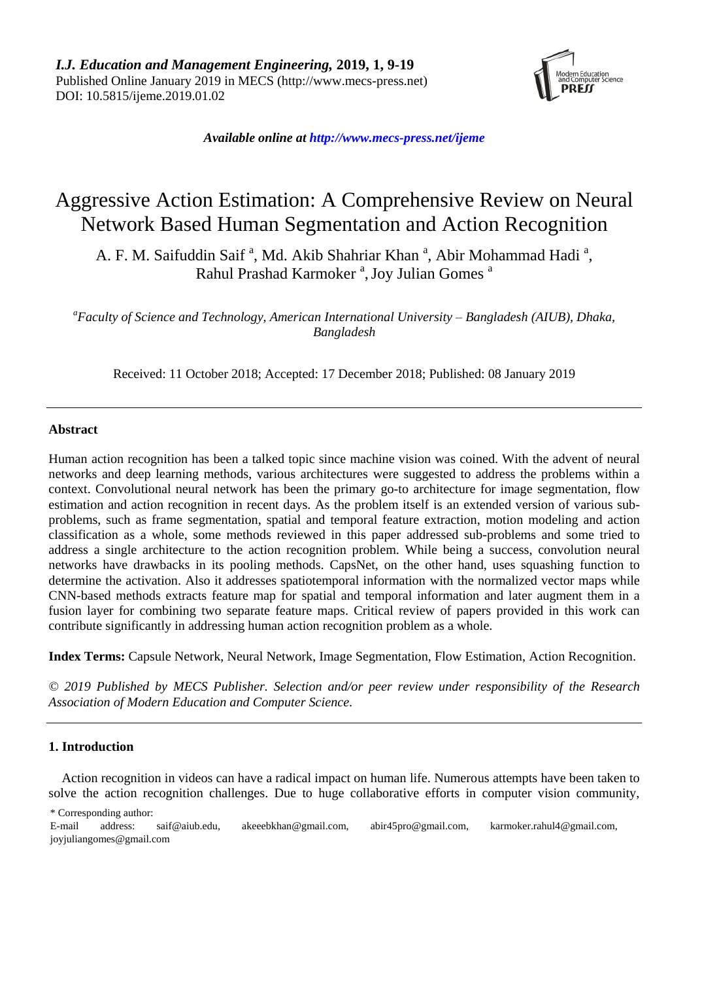

*Available online a[t http://www.mecs-press.net/ijeme](http://www.mecs-press.net/ijeme)*

# Aggressive Action Estimation: A Comprehensive Review on Neural Network Based Human Segmentation and Action Recognition

A. F. M. Saifuddin Saif<sup>a</sup>, Md. Akib Shahriar Khan<sup>a</sup>, Abir Mohammad Hadi<sup>a</sup>, Rahul Prashad Karmoker<sup>a</sup>, Joy Julian Gomes<sup>a</sup>

*<sup>a</sup>Faculty of Science and Technology, American International University – Bangladesh (AIUB), Dhaka, Bangladesh*

Received: 11 October 2018; Accepted: 17 December 2018; Published: 08 January 2019

# **Abstract**

Human action recognition has been a talked topic since machine vision was coined. With the advent of neural networks and deep learning methods, various architectures were suggested to address the problems within a context. Convolutional neural network has been the primary go-to architecture for image segmentation, flow estimation and action recognition in recent days. As the problem itself is an extended version of various subproblems, such as frame segmentation, spatial and temporal feature extraction, motion modeling and action classification as a whole, some methods reviewed in this paper addressed sub-problems and some tried to address a single architecture to the action recognition problem. While being a success, convolution neural networks have drawbacks in its pooling methods. CapsNet, on the other hand, uses squashing function to determine the activation. Also it addresses spatiotemporal information with the normalized vector maps while CNN-based methods extracts feature map for spatial and temporal information and later augment them in a fusion layer for combining two separate feature maps. Critical review of papers provided in this work can contribute significantly in addressing human action recognition problem as a whole.

**Index Terms:** Capsule Network, Neural Network, Image Segmentation, Flow Estimation, Action Recognition.

*© 2019 Published by MECS Publisher. Selection and/or peer review under responsibility of the Research Association of Modern Education and Computer Science.*

#### **1. Introduction**

Action recognition in videos can have a radical impact on human life. Numerous attempts have been taken to solve the action recognition challenges. Due to huge collaborative efforts in computer vision community,

\* Corresponding author:

E-mail address: [saif@aiub.edu,](mailto:saif@aiub.edu) [akeeebkhan@](mailto:akeeebkhan@gmail.com)gmail.com, [abir45pro@](mailto:abir45pro@gmail.com)gmail.com, [karmoker.rahul4@](mailto:karmoker.rahul4@gmail.com)gmail.com, joyjuliangomes@gmail.com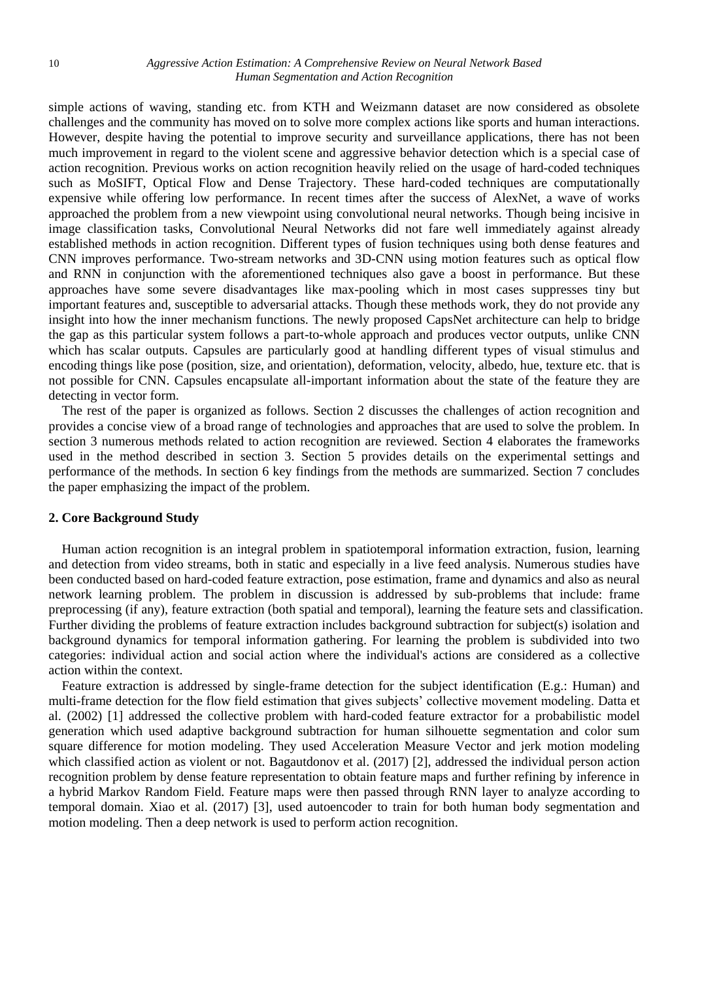simple actions of waving, standing etc. from KTH and Weizmann dataset are now considered as obsolete challenges and the community has moved on to solve more complex actions like sports and human interactions. However, despite having the potential to improve security and surveillance applications, there has not been much improvement in regard to the violent scene and aggressive behavior detection which is a special case of action recognition. Previous works on action recognition heavily relied on the usage of hard-coded techniques such as MoSIFT, Optical Flow and Dense Trajectory. These hard-coded techniques are computationally expensive while offering low performance. In recent times after the success of AlexNet, a wave of works approached the problem from a new viewpoint using convolutional neural networks. Though being incisive in image classification tasks, Convolutional Neural Networks did not fare well immediately against already established methods in action recognition. Different types of fusion techniques using both dense features and CNN improves performance. Two-stream networks and 3D-CNN using motion features such as optical flow and RNN in conjunction with the aforementioned techniques also gave a boost in performance. But these approaches have some severe disadvantages like max-pooling which in most cases suppresses tiny but important features and, susceptible to adversarial attacks. Though these methods work, they do not provide any insight into how the inner mechanism functions. The newly proposed CapsNet architecture can help to bridge the gap as this particular system follows a part-to-whole approach and produces vector outputs, unlike CNN which has scalar outputs. Capsules are particularly good at handling different types of visual stimulus and encoding things like pose (position, size, and orientation), deformation, velocity, albedo, hue, texture etc. that is not possible for CNN. Capsules encapsulate all-important information about the state of the feature they are detecting in vector form.

The rest of the paper is organized as follows. Section 2 discusses the challenges of action recognition and provides a concise view of a broad range of technologies and approaches that are used to solve the problem. In section 3 numerous methods related to action recognition are reviewed. Section 4 elaborates the frameworks used in the method described in section 3. Section 5 provides details on the experimental settings and performance of the methods. In section 6 key findings from the methods are summarized. Section 7 concludes the paper emphasizing the impact of the problem.

# **2. Core Background Study**

Human action recognition is an integral problem in spatiotemporal information extraction, fusion, learning and detection from video streams, both in static and especially in a live feed analysis. Numerous studies have been conducted based on hard-coded feature extraction, pose estimation, frame and dynamics and also as neural network learning problem. The problem in discussion is addressed by sub-problems that include: frame preprocessing (if any), feature extraction (both spatial and temporal), learning the feature sets and classification. Further dividing the problems of feature extraction includes background subtraction for subject(s) isolation and background dynamics for temporal information gathering. For learning the problem is subdivided into two categories: individual action and social action where the individual's actions are considered as a collective action within the context.

Feature extraction is addressed by single-frame detection for the subject identification (E.g.: Human) and multi-frame detection for the flow field estimation that gives subjects' collective movement modeling. Datta et al. (2002) [1] addressed the collective problem with hard-coded feature extractor for a probabilistic model generation which used adaptive background subtraction for human silhouette segmentation and color sum square difference for motion modeling. They used Acceleration Measure Vector and jerk motion modeling which classified action as violent or not. Bagautdonov et al. (2017) [2], addressed the individual person action recognition problem by dense feature representation to obtain feature maps and further refining by inference in a hybrid Markov Random Field. Feature maps were then passed through RNN layer to analyze according to temporal domain. Xiao et al. (2017) [3], used autoencoder to train for both human body segmentation and motion modeling. Then a deep network is used to perform action recognition.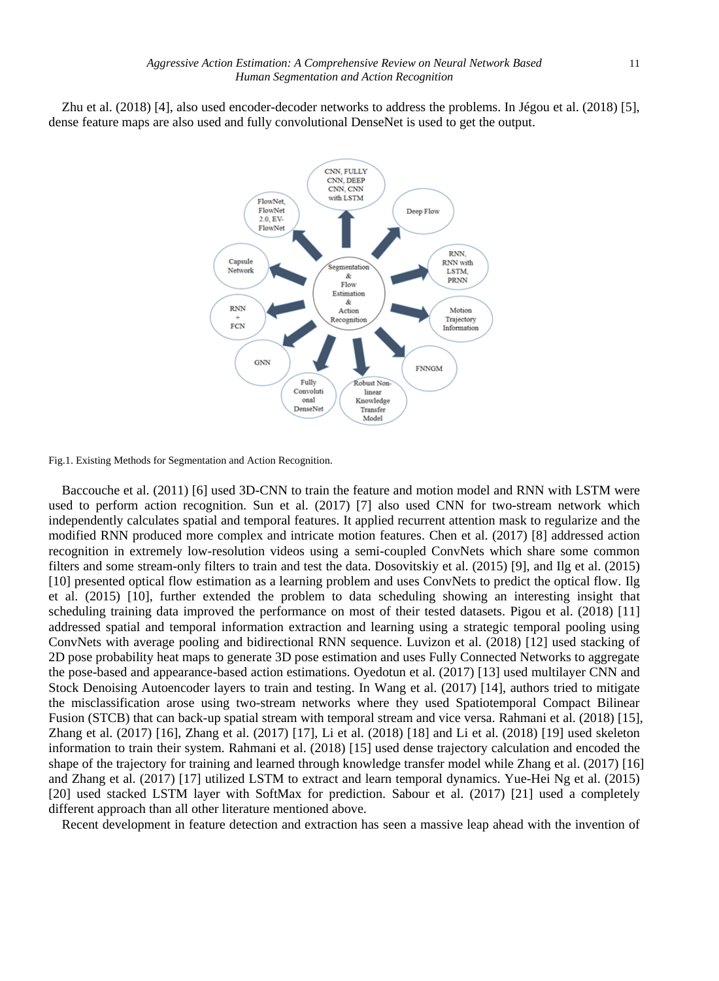Zhu et al. (2018) [4], also used encoder-decoder networks to address the problems. In Jégou et al. (2018) [5], dense feature maps are also used and fully convolutional DenseNet is used to get the output.



Fig.1. Existing Methods for Segmentation and Action Recognition.

Baccouche et al. (2011) [6] used 3D-CNN to train the feature and motion model and RNN with LSTM were used to perform action recognition. Sun et al. (2017) [7] also used CNN for two-stream network which independently calculates spatial and temporal features. It applied recurrent attention mask to regularize and the modified RNN produced more complex and intricate motion features. Chen et al. (2017) [8] addressed action recognition in extremely low-resolution videos using a semi-coupled ConvNets which share some common filters and some stream-only filters to train and test the data. Dosovitskiy et al. (2015) [9], and Ilg et al. (2015) [10] presented optical flow estimation as a learning problem and uses ConvNets to predict the optical flow. Ilg et al. (2015) [10], further extended the problem to data scheduling showing an interesting insight that scheduling training data improved the performance on most of their tested datasets. Pigou et al. (2018) [11] addressed spatial and temporal information extraction and learning using a strategic temporal pooling using ConvNets with average pooling and bidirectional RNN sequence. Luvizon et al. (2018) [12] used stacking of 2D pose probability heat maps to generate 3D pose estimation and uses Fully Connected Networks to aggregate the pose-based and appearance-based action estimations. Oyedotun et al. (2017) [13] used multilayer CNN and Stock Denoising Autoencoder layers to train and testing. In Wang et al. (2017) [14], authors tried to mitigate the misclassification arose using two-stream networks where they used Spatiotemporal Compact Bilinear Fusion (STCB) that can back-up spatial stream with temporal stream and vice versa. Rahmani et al. (2018) [15], Zhang et al. (2017) [16], Zhang et al. (2017) [17], Li et al. (2018) [18] and Li et al. (2018) [19] used skeleton information to train their system. Rahmani et al. (2018) [15] used dense trajectory calculation and encoded the shape of the trajectory for training and learned through knowledge transfer model while Zhang et al. (2017) [16] and Zhang et al. (2017) [17] utilized LSTM to extract and learn temporal dynamics. Yue-Hei Ng et al. (2015) [20] used stacked LSTM layer with SoftMax for prediction. Sabour et al. (2017) [21] used a completely different approach than all other literature mentioned above.

Recent development in feature detection and extraction has seen a massive leap ahead with the invention of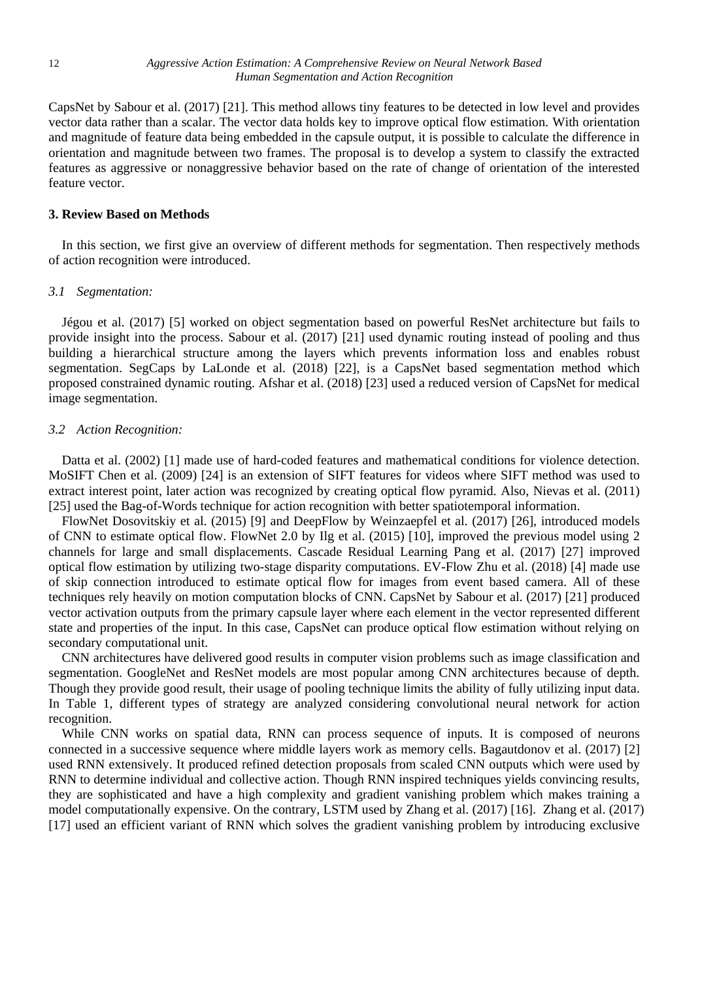CapsNet by Sabour et al. (2017) [21]. This method allows tiny features to be detected in low level and provides vector data rather than a scalar. The vector data holds key to improve optical flow estimation. With orientation and magnitude of feature data being embedded in the capsule output, it is possible to calculate the difference in orientation and magnitude between two frames. The proposal is to develop a system to classify the extracted features as aggressive or nonaggressive behavior based on the rate of change of orientation of the interested feature vector.

# **3. Review Based on Methods**

In this section, we first give an overview of different methods for segmentation. Then respectively methods of action recognition were introduced.

#### *3.1 Segmentation:*

Jégou et al. (2017) [5] worked on object segmentation based on powerful ResNet architecture but fails to provide insight into the process. Sabour et al. (2017) [21] used dynamic routing instead of pooling and thus building a hierarchical structure among the layers which prevents information loss and enables robust segmentation. SegCaps by LaLonde et al. (2018) [22], is a CapsNet based segmentation method which proposed constrained dynamic routing. Afshar et al. (2018) [23] used a reduced version of CapsNet for medical image segmentation.

# *3.2 Action Recognition:*

Datta et al. (2002) [1] made use of hard-coded features and mathematical conditions for violence detection. MoSIFT Chen et al. (2009) [24] is an extension of SIFT features for videos where SIFT method was used to extract interest point, later action was recognized by creating optical flow pyramid. Also, Nievas et al. (2011) [25] used the Bag-of-Words technique for action recognition with better spatiotemporal information.

FlowNet Dosovitskiy et al. (2015) [9] and DeepFlow by Weinzaepfel et al. (2017) [26], introduced models of CNN to estimate optical flow. FlowNet 2.0 by Ilg et al. (2015) [10], improved the previous model using 2 channels for large and small displacements. Cascade Residual Learning Pang et al. (2017) [27] improved optical flow estimation by utilizing two-stage disparity computations. EV-Flow Zhu et al. (2018) [4] made use of skip connection introduced to estimate optical flow for images from event based camera. All of these techniques rely heavily on motion computation blocks of CNN. CapsNet by Sabour et al. (2017) [21] produced vector activation outputs from the primary capsule layer where each element in the vector represented different state and properties of the input. In this case, CapsNet can produce optical flow estimation without relying on secondary computational unit.

CNN architectures have delivered good results in computer vision problems such as image classification and segmentation. GoogleNet and ResNet models are most popular among CNN architectures because of depth. Though they provide good result, their usage of pooling technique limits the ability of fully utilizing input data. In Table 1, different types of strategy are analyzed considering convolutional neural network for action recognition.

While CNN works on spatial data, RNN can process sequence of inputs. It is composed of neurons connected in a successive sequence where middle layers work as memory cells. Bagautdonov et al. (2017) [2] used RNN extensively. It produced refined detection proposals from scaled CNN outputs which were used by RNN to determine individual and collective action. Though RNN inspired techniques yields convincing results, they are sophisticated and have a high complexity and gradient vanishing problem which makes training a model computationally expensive. On the contrary, LSTM used by Zhang et al. (2017) [16]. Zhang et al. (2017) [17] used an efficient variant of RNN which solves the gradient vanishing problem by introducing exclusive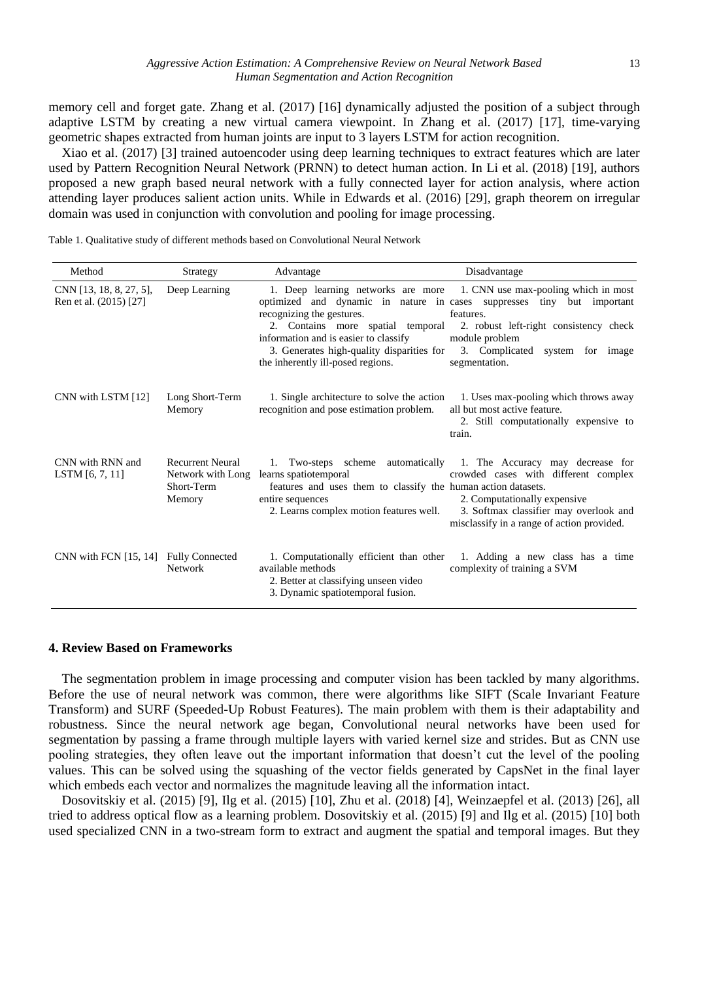memory cell and forget gate. Zhang et al. (2017) [16] dynamically adjusted the position of a subject through adaptive LSTM by creating a new virtual camera viewpoint. In Zhang et al. (2017) [17], time-varying geometric shapes extracted from human joints are input to 3 layers LSTM for action recognition.

Xiao et al. (2017) [3] trained autoencoder using deep learning techniques to extract features which are later used by Pattern Recognition Neural Network (PRNN) to detect human action. In Li et al. (2018) [19], authors proposed a new graph based neural network with a fully connected layer for action analysis, where action attending layer produces salient action units. While in Edwards et al. (2016) [29], graph theorem on irregular domain was used in conjunction with convolution and pooling for image processing.

Table 1. Qualitative study of different methods based on Convolutional Neural Network

| Method                                            | Strategy                                        | Advantage                                                                                                                                                                                 | Disadvantage                                                                                                                                                                                                                                                                   |
|---------------------------------------------------|-------------------------------------------------|-------------------------------------------------------------------------------------------------------------------------------------------------------------------------------------------|--------------------------------------------------------------------------------------------------------------------------------------------------------------------------------------------------------------------------------------------------------------------------------|
| CNN [13, 18, 8, 27, 5],<br>Ren et al. (2015) [27] | Deep Learning                                   | recognizing the gestures.<br>2. Contains more spatial temporal<br>information and is easier to classify<br>3. Generates high-quality disparities for<br>the inherently ill-posed regions. | 1. Deep learning networks are more 1. CNN use max-pooling which in most<br>optimized and dynamic in nature in cases suppresses tiny but important<br>features.<br>2. robust left-right consistency check<br>module problem<br>3. Complicated system for image<br>segmentation. |
| CNN with LSTM [12]                                | Long Short-Term<br>Memory                       | 1. Single architecture to solve the action<br>recognition and pose estimation problem.                                                                                                    | 1. Uses max-pooling which throws away<br>all but most active feature.<br>2. Still computationally expensive to<br>train.                                                                                                                                                       |
| CNN with RNN and<br>LSTM [6, 7, 11]               | <b>Recurrent Neural</b><br>Short-Term<br>Memory | Network with Long learns spatiotemporal<br>features and uses them to classify the human action datasets.<br>entire sequences<br>2. Learns complex motion features well.                   | 1. Two-steps scheme automatically 1. The Accuracy may decrease for<br>crowded cases with different complex<br>2. Computationally expensive<br>3. Softmax classifier may overlook and<br>misclassify in a range of action provided.                                             |
| CNN with FCN [15, 14] Fully Connected             | <b>Network</b>                                  | 1. Computationally efficient than other<br>available methods<br>2. Better at classifying unseen video<br>3. Dynamic spatiotemporal fusion.                                                | 1. Adding a new class has a time<br>complexity of training a SVM                                                                                                                                                                                                               |

#### **4. Review Based on Frameworks**

The segmentation problem in image processing and computer vision has been tackled by many algorithms. Before the use of neural network was common, there were algorithms like SIFT (Scale Invariant Feature Transform) and SURF (Speeded-Up Robust Features). The main problem with them is their adaptability and robustness. Since the neural network age began, Convolutional neural networks have been used for segmentation by passing a frame through multiple layers with varied kernel size and strides. But as CNN use pooling strategies, they often leave out the important information that doesn't cut the level of the pooling values. This can be solved using the squashing of the vector fields generated by CapsNet in the final layer which embeds each vector and normalizes the magnitude leaving all the information intact.

Dosovitskiy et al. (2015) [9], Ilg et al. (2015) [10], Zhu et al. (2018) [4], Weinzaepfel et al. (2013) [26], all tried to address optical flow as a learning problem. Dosovitskiy et al. (2015) [9] and Ilg et al. (2015) [10] both used specialized CNN in a two-stream form to extract and augment the spatial and temporal images. But they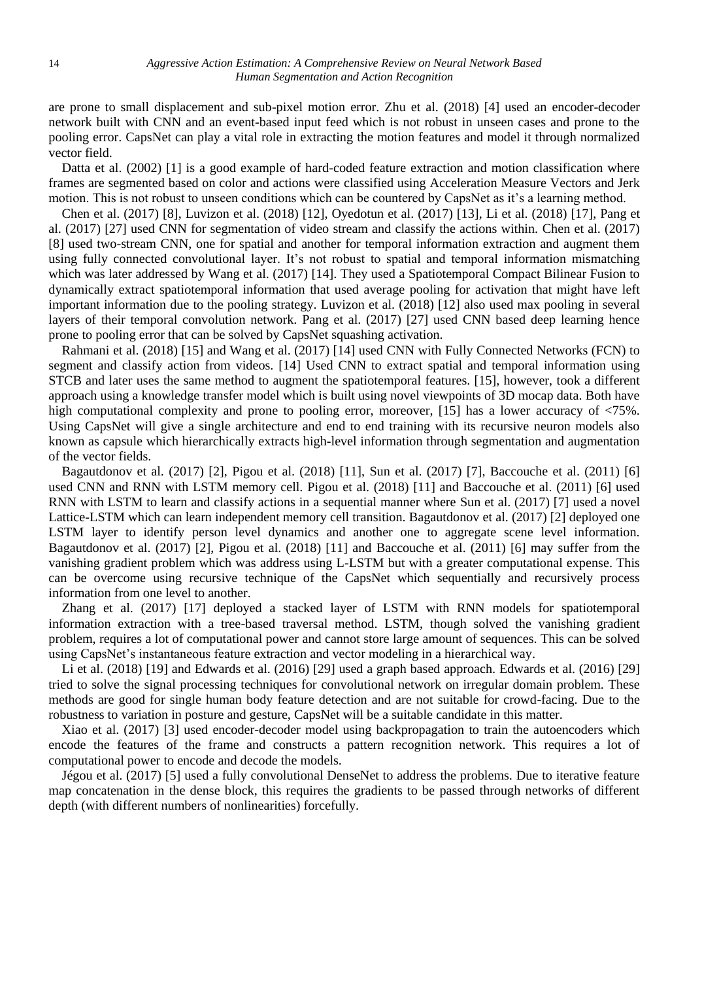are prone to small displacement and sub-pixel motion error. Zhu et al. (2018) [4] used an encoder-decoder network built with CNN and an event-based input feed which is not robust in unseen cases and prone to the pooling error. CapsNet can play a vital role in extracting the motion features and model it through normalized vector field.

Datta et al. (2002) [1] is a good example of hard-coded feature extraction and motion classification where frames are segmented based on color and actions were classified using Acceleration Measure Vectors and Jerk motion. This is not robust to unseen conditions which can be countered by CapsNet as it's a learning method.

Chen et al. (2017) [8], Luvizon et al. (2018) [12], Oyedotun et al. (2017) [13], Li et al. (2018) [17], Pang et al. (2017) [27] used CNN for segmentation of video stream and classify the actions within. Chen et al. (2017) [8] used two-stream CNN, one for spatial and another for temporal information extraction and augment them using fully connected convolutional layer. It's not robust to spatial and temporal information mismatching which was later addressed by Wang et al. (2017) [14]. They used a Spatiotemporal Compact Bilinear Fusion to dynamically extract spatiotemporal information that used average pooling for activation that might have left important information due to the pooling strategy. Luvizon et al. (2018) [12] also used max pooling in several layers of their temporal convolution network. Pang et al. (2017) [27] used CNN based deep learning hence prone to pooling error that can be solved by CapsNet squashing activation.

Rahmani et al. (2018) [15] and Wang et al. (2017) [14] used CNN with Fully Connected Networks (FCN) to segment and classify action from videos. [14] Used CNN to extract spatial and temporal information using STCB and later uses the same method to augment the spatiotemporal features. [15], however, took a different approach using a knowledge transfer model which is built using novel viewpoints of 3D mocap data. Both have high computational complexity and prone to pooling error, moreover, [15] has a lower accuracy of  $\langle 75\% \rangle$ . Using CapsNet will give a single architecture and end to end training with its recursive neuron models also known as capsule which hierarchically extracts high-level information through segmentation and augmentation of the vector fields.

Bagautdonov et al. (2017) [2], Pigou et al. (2018) [11], Sun et al. (2017) [7], Baccouche et al. (2011) [6] used CNN and RNN with LSTM memory cell. Pigou et al. (2018) [11] and Baccouche et al. (2011) [6] used RNN with LSTM to learn and classify actions in a sequential manner where Sun et al. (2017) [7] used a novel Lattice-LSTM which can learn independent memory cell transition. Bagautdonov et al. (2017) [2] deployed one LSTM layer to identify person level dynamics and another one to aggregate scene level information. Bagautdonov et al. (2017) [2], Pigou et al. (2018) [11] and Baccouche et al. (2011) [6] may suffer from the vanishing gradient problem which was address using L-LSTM but with a greater computational expense. This can be overcome using recursive technique of the CapsNet which sequentially and recursively process information from one level to another.

Zhang et al. (2017) [17] deployed a stacked layer of LSTM with RNN models for spatiotemporal information extraction with a tree-based traversal method. LSTM, though solved the vanishing gradient problem, requires a lot of computational power and cannot store large amount of sequences. This can be solved using CapsNet's instantaneous feature extraction and vector modeling in a hierarchical way.

Li et al. (2018) [19] and Edwards et al. (2016) [29] used a graph based approach. Edwards et al. (2016) [29] tried to solve the signal processing techniques for convolutional network on irregular domain problem. These methods are good for single human body feature detection and are not suitable for crowd-facing. Due to the robustness to variation in posture and gesture, CapsNet will be a suitable candidate in this matter.

Xiao et al. (2017) [3] used encoder-decoder model using backpropagation to train the autoencoders which encode the features of the frame and constructs a pattern recognition network. This requires a lot of computational power to encode and decode the models.

Jégou et al. (2017) [5] used a fully convolutional DenseNet to address the problems. Due to iterative feature map concatenation in the dense block, this requires the gradients to be passed through networks of different depth (with different numbers of nonlinearities) forcefully.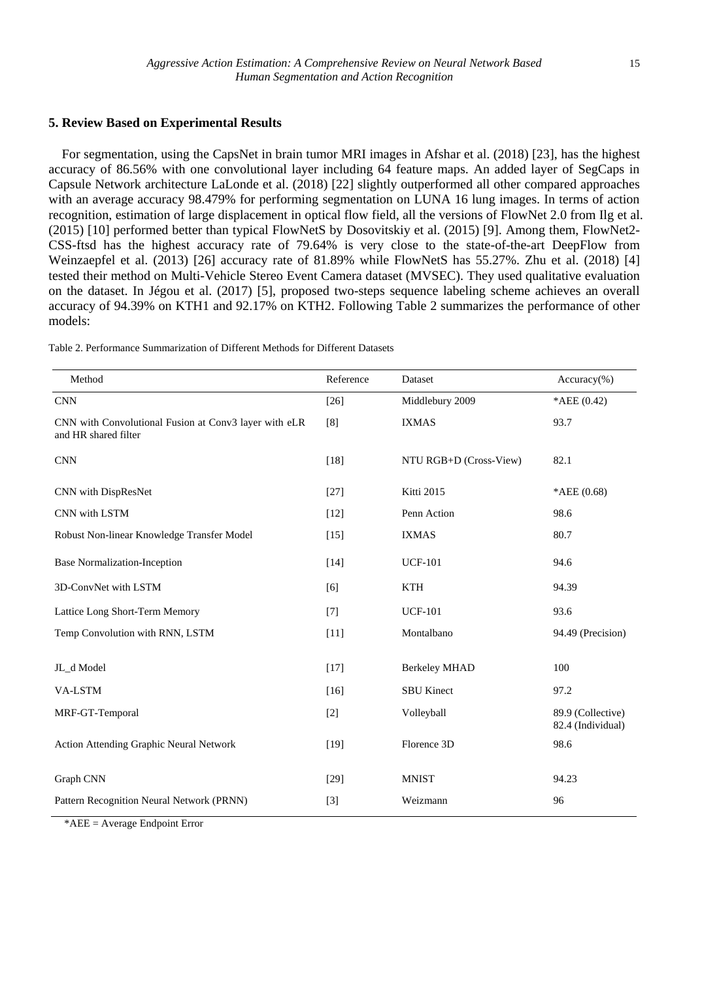#### **5. Review Based on Experimental Results**

For segmentation, using the CapsNet in brain tumor MRI images in Afshar et al. (2018) [23], has the highest accuracy of 86.56% with one convolutional layer including 64 feature maps. An added layer of SegCaps in Capsule Network architecture LaLonde et al. (2018) [22] slightly outperformed all other compared approaches with an average accuracy 98.479% for performing segmentation on LUNA 16 lung images. In terms of action recognition, estimation of large displacement in optical flow field, all the versions of FlowNet 2.0 from Ilg et al. (2015) [10] performed better than typical FlowNetS by Dosovitskiy et al. (2015) [9]. Among them, FlowNet2- CSS-ftsd has the highest accuracy rate of 79.64% is very close to the state-of-the-art DeepFlow from Weinzaepfel et al. (2013) [26] accuracy rate of 81.89% while FlowNetS has 55.27%. Zhu et al. (2018) [4] tested their method on Multi-Vehicle Stereo Event Camera dataset (MVSEC). They used qualitative evaluation on the dataset. In Jégou et al. (2017) [5], proposed two-steps sequence labeling scheme achieves an overall accuracy of 94.39% on KTH1 and 92.17% on KTH2. Following Table 2 summarizes the performance of other models:

| Method                                                                        | Reference | Dataset                | $Accuracy$ %)                          |
|-------------------------------------------------------------------------------|-----------|------------------------|----------------------------------------|
| <b>CNN</b>                                                                    | $[26]$    | Middlebury 2009        | *AEE $(0.42)$                          |
| CNN with Convolutional Fusion at Conv3 layer with eLR<br>and HR shared filter | [8]       | <b>IXMAS</b>           | 93.7                                   |
| <b>CNN</b>                                                                    | $[18]$    | NTU RGB+D (Cross-View) | 82.1                                   |
| CNN with DispResNet                                                           | $[27]$    | Kitti 2015             | *AEE $(0.68)$                          |
| CNN with LSTM                                                                 | $[12]$    | Penn Action            | 98.6                                   |
| Robust Non-linear Knowledge Transfer Model                                    | $[15]$    | <b>IXMAS</b>           | 80.7                                   |
| <b>Base Normalization-Inception</b>                                           | $[14]$    | <b>UCF-101</b>         | 94.6                                   |
| 3D-ConvNet with LSTM                                                          | [6]       | KTH                    | 94.39                                  |
| Lattice Long Short-Term Memory                                                | $[7]$     | <b>UCF-101</b>         | 93.6                                   |
| Temp Convolution with RNN, LSTM                                               | $[11]$    | Montalbano             | 94.49 (Precision)                      |
| JL_d Model                                                                    | $[17]$    | <b>Berkeley MHAD</b>   | 100                                    |
| <b>VA-LSTM</b>                                                                | $[16]$    | <b>SBU</b> Kinect      | 97.2                                   |
| MRF-GT-Temporal                                                               | $[2]$     | Volleyball             | 89.9 (Collective)<br>82.4 (Individual) |
| <b>Action Attending Graphic Neural Network</b>                                | $[19]$    | Florence 3D            | 98.6                                   |
| Graph CNN                                                                     | $[29]$    | <b>MNIST</b>           | 94.23                                  |
| Pattern Recognition Neural Network (PRNN)                                     | $[3]$     | Weizmann               | 96                                     |

Table 2. Performance Summarization of Different Methods for Different Datasets

\*AEE = Average Endpoint Error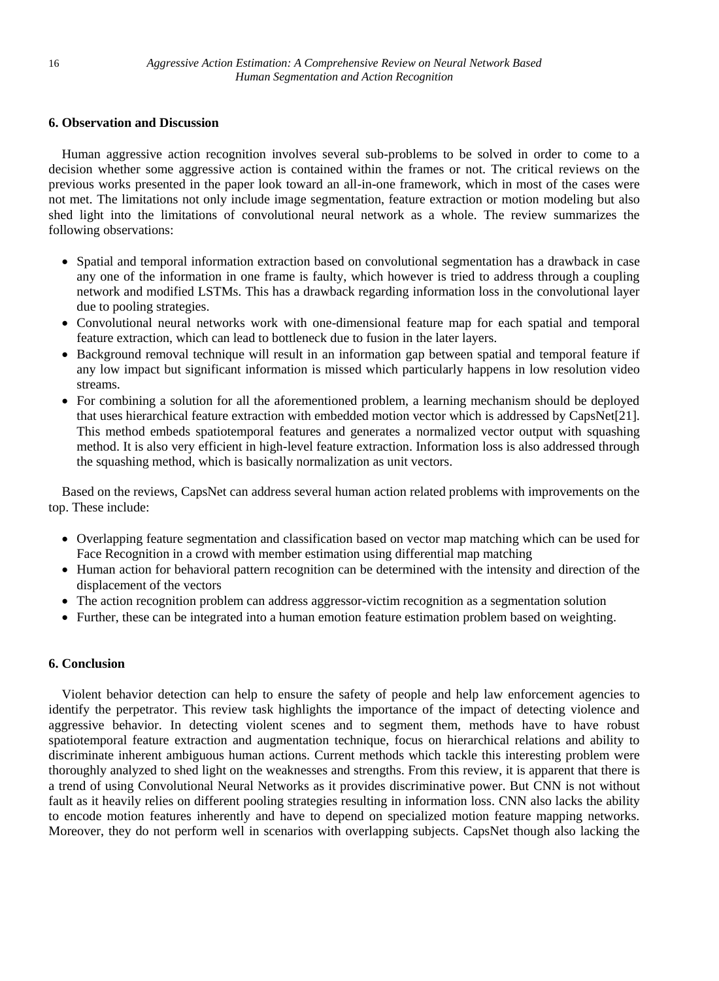# **6. Observation and Discussion**

Human aggressive action recognition involves several sub-problems to be solved in order to come to a decision whether some aggressive action is contained within the frames or not. The critical reviews on the previous works presented in the paper look toward an all-in-one framework, which in most of the cases were not met. The limitations not only include image segmentation, feature extraction or motion modeling but also shed light into the limitations of convolutional neural network as a whole. The review summarizes the following observations:

- Spatial and temporal information extraction based on convolutional segmentation has a drawback in case any one of the information in one frame is faulty, which however is tried to address through a coupling network and modified LSTMs. This has a drawback regarding information loss in the convolutional layer due to pooling strategies.
- Convolutional neural networks work with one-dimensional feature map for each spatial and temporal feature extraction, which can lead to bottleneck due to fusion in the later layers.
- Background removal technique will result in an information gap between spatial and temporal feature if any low impact but significant information is missed which particularly happens in low resolution video streams.
- For combining a solution for all the aforementioned problem, a learning mechanism should be deployed that uses hierarchical feature extraction with embedded motion vector which is addressed by CapsNet[21]. This method embeds spatiotemporal features and generates a normalized vector output with squashing method. It is also very efficient in high-level feature extraction. Information loss is also addressed through the squashing method, which is basically normalization as unit vectors.

Based on the reviews, CapsNet can address several human action related problems with improvements on the top. These include:

- Overlapping feature segmentation and classification based on vector map matching which can be used for Face Recognition in a crowd with member estimation using differential map matching
- Human action for behavioral pattern recognition can be determined with the intensity and direction of the displacement of the vectors
- The action recognition problem can address aggressor-victim recognition as a segmentation solution
- Further, these can be integrated into a human emotion feature estimation problem based on weighting.

# **6. Conclusion**

Violent behavior detection can help to ensure the safety of people and help law enforcement agencies to identify the perpetrator. This review task highlights the importance of the impact of detecting violence and aggressive behavior. In detecting violent scenes and to segment them, methods have to have robust spatiotemporal feature extraction and augmentation technique, focus on hierarchical relations and ability to discriminate inherent ambiguous human actions. Current methods which tackle this interesting problem were thoroughly analyzed to shed light on the weaknesses and strengths. From this review, it is apparent that there is a trend of using Convolutional Neural Networks as it provides discriminative power. But CNN is not without fault as it heavily relies on different pooling strategies resulting in information loss. CNN also lacks the ability to encode motion features inherently and have to depend on specialized motion feature mapping networks. Moreover, they do not perform well in scenarios with overlapping subjects. CapsNet though also lacking the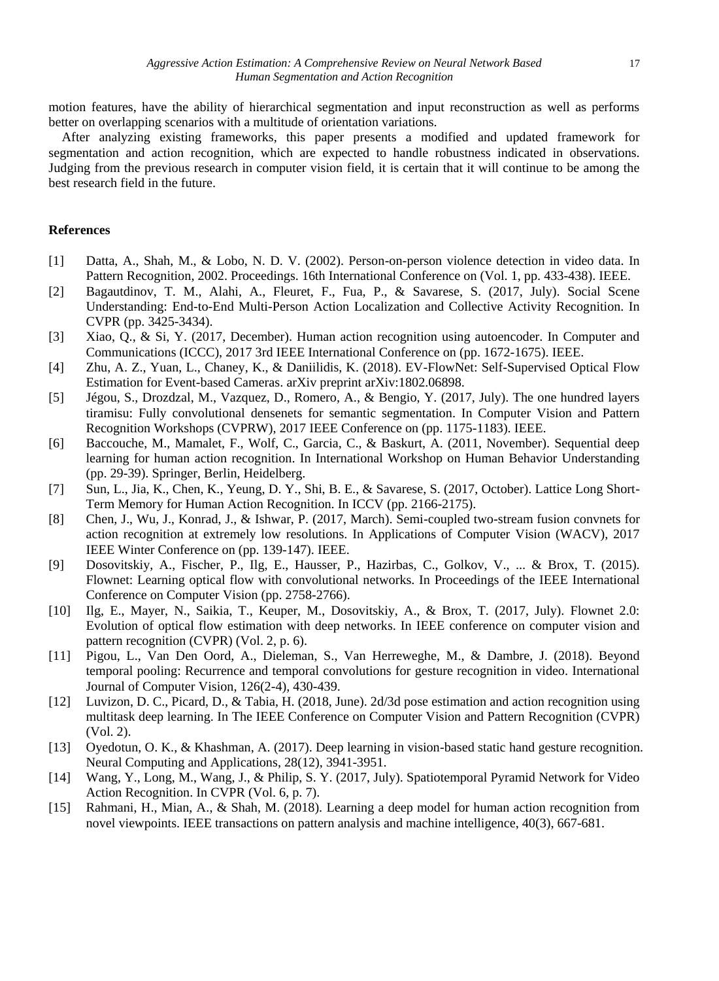motion features, have the ability of hierarchical segmentation and input reconstruction as well as performs better on overlapping scenarios with a multitude of orientation variations.

After analyzing existing frameworks, this paper presents a modified and updated framework for segmentation and action recognition, which are expected to handle robustness indicated in observations. Judging from the previous research in computer vision field, it is certain that it will continue to be among the best research field in the future.

#### **References**

- [1] Datta, A., Shah, M., & Lobo, N. D. V. (2002). Person-on-person violence detection in video data. In Pattern Recognition, 2002. Proceedings. 16th International Conference on (Vol. 1, pp. 433-438). IEEE.
- [2] Bagautdinov, T. M., Alahi, A., Fleuret, F., Fua, P., & Savarese, S. (2017, July). Social Scene Understanding: End-to-End Multi-Person Action Localization and Collective Activity Recognition. In CVPR (pp. 3425-3434).
- [3] Xiao, Q., & Si, Y. (2017, December). Human action recognition using autoencoder. In Computer and Communications (ICCC), 2017 3rd IEEE International Conference on (pp. 1672-1675). IEEE.
- [4] Zhu, A. Z., Yuan, L., Chaney, K., & Daniilidis, K. (2018). EV-FlowNet: Self-Supervised Optical Flow Estimation for Event-based Cameras. arXiv preprint arXiv:1802.06898.
- [5] Jégou, S., Drozdzal, M., Vazquez, D., Romero, A., & Bengio, Y. (2017, July). The one hundred layers tiramisu: Fully convolutional densenets for semantic segmentation. In Computer Vision and Pattern Recognition Workshops (CVPRW), 2017 IEEE Conference on (pp. 1175-1183). IEEE.
- [6] Baccouche, M., Mamalet, F., Wolf, C., Garcia, C., & Baskurt, A. (2011, November). Sequential deep learning for human action recognition. In International Workshop on Human Behavior Understanding (pp. 29-39). Springer, Berlin, Heidelberg.
- [7] Sun, L., Jia, K., Chen, K., Yeung, D. Y., Shi, B. E., & Savarese, S. (2017, October). Lattice Long Short-Term Memory for Human Action Recognition. In ICCV (pp. 2166-2175).
- [8] Chen, J., Wu, J., Konrad, J., & Ishwar, P. (2017, March). Semi-coupled two-stream fusion convnets for action recognition at extremely low resolutions. In Applications of Computer Vision (WACV), 2017 IEEE Winter Conference on (pp. 139-147). IEEE.
- [9] Dosovitskiy, A., Fischer, P., Ilg, E., Hausser, P., Hazirbas, C., Golkov, V., ... & Brox, T. (2015). Flownet: Learning optical flow with convolutional networks. In Proceedings of the IEEE International Conference on Computer Vision (pp. 2758-2766).
- [10] Ilg, E., Mayer, N., Saikia, T., Keuper, M., Dosovitskiy, A., & Brox, T. (2017, July). Flownet 2.0: Evolution of optical flow estimation with deep networks. In IEEE conference on computer vision and pattern recognition (CVPR) (Vol. 2, p. 6).
- [11] Pigou, L., Van Den Oord, A., Dieleman, S., Van Herreweghe, M., & Dambre, J. (2018). Beyond temporal pooling: Recurrence and temporal convolutions for gesture recognition in video. International Journal of Computer Vision, 126(2-4), 430-439.
- [12] Luvizon, D. C., Picard, D., & Tabia, H. (2018, June). 2d/3d pose estimation and action recognition using multitask deep learning. In The IEEE Conference on Computer Vision and Pattern Recognition (CVPR) (Vol. 2).
- [13] Oyedotun, O. K., & Khashman, A. (2017). Deep learning in vision-based static hand gesture recognition. Neural Computing and Applications, 28(12), 3941-3951.
- [14] Wang, Y., Long, M., Wang, J., & Philip, S. Y. (2017, July). Spatiotemporal Pyramid Network for Video Action Recognition. In CVPR (Vol. 6, p. 7).
- [15] Rahmani, H., Mian, A., & Shah, M. (2018). Learning a deep model for human action recognition from novel viewpoints. IEEE transactions on pattern analysis and machine intelligence, 40(3), 667-681.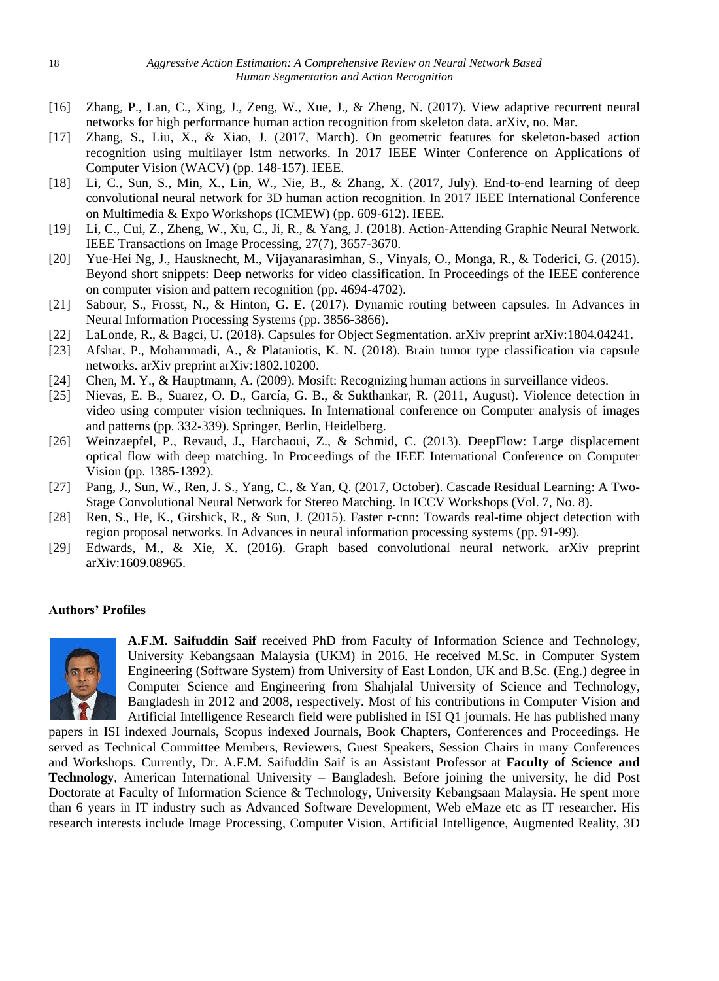- [16] Zhang, P., Lan, C., Xing, J., Zeng, W., Xue, J., & Zheng, N. (2017). View adaptive recurrent neural networks for high performance human action recognition from skeleton data. arXiv, no. Mar.
- [17] Zhang, S., Liu, X., & Xiao, J. (2017, March). On geometric features for skeleton-based action recognition using multilayer lstm networks. In 2017 IEEE Winter Conference on Applications of Computer Vision (WACV) (pp. 148-157). IEEE.
- [18] Li, C., Sun, S., Min, X., Lin, W., Nie, B., & Zhang, X. (2017, July). End-to-end learning of deep convolutional neural network for 3D human action recognition. In 2017 IEEE International Conference on Multimedia & Expo Workshops (ICMEW) (pp. 609-612). IEEE.
- [19] Li, C., Cui, Z., Zheng, W., Xu, C., Ji, R., & Yang, J. (2018). Action-Attending Graphic Neural Network. IEEE Transactions on Image Processing, 27(7), 3657-3670.
- [20] Yue-Hei Ng, J., Hausknecht, M., Vijayanarasimhan, S., Vinyals, O., Monga, R., & Toderici, G. (2015). Beyond short snippets: Deep networks for video classification. In Proceedings of the IEEE conference on computer vision and pattern recognition (pp. 4694-4702).
- [21] Sabour, S., Frosst, N., & Hinton, G. E. (2017). Dynamic routing between capsules. In Advances in Neural Information Processing Systems (pp. 3856-3866).
- [22] LaLonde, R., & Bagci, U. (2018). Capsules for Object Segmentation. arXiv preprint arXiv:1804.04241.
- [23] Afshar, P., Mohammadi, A., & Plataniotis, K. N. (2018). Brain tumor type classification via capsule networks. arXiv preprint arXiv:1802.10200.
- [24] Chen, M. Y., & Hauptmann, A. (2009). Mosift: Recognizing human actions in surveillance videos.
- [25] Nievas, E. B., Suarez, O. D., García, G. B., & Sukthankar, R. (2011, August). Violence detection in video using computer vision techniques. In International conference on Computer analysis of images and patterns (pp. 332-339). Springer, Berlin, Heidelberg.
- [26] Weinzaepfel, P., Revaud, J., Harchaoui, Z., & Schmid, C. (2013). DeepFlow: Large displacement optical flow with deep matching. In Proceedings of the IEEE International Conference on Computer Vision (pp. 1385-1392).
- [27] Pang, J., Sun, W., Ren, J. S., Yang, C., & Yan, Q. (2017, October). Cascade Residual Learning: A Two-Stage Convolutional Neural Network for Stereo Matching. In ICCV Workshops (Vol. 7, No. 8).
- [28] Ren, S., He, K., Girshick, R., & Sun, J. (2015). Faster r-cnn: Towards real-time object detection with region proposal networks. In Advances in neural information processing systems (pp. 91-99).
- [29] Edwards, M., & Xie, X. (2016). Graph based convolutional neural network. arXiv preprint arXiv:1609.08965.

# **Authors' Profiles**



**A.F.M. Saifuddin Saif** received PhD from Faculty of Information Science and Technology, University Kebangsaan Malaysia (UKM) in 2016. He received M.Sc. in Computer System Engineering (Software System) from University of East London, UK and B.Sc. (Eng.) degree in Computer Science and Engineering from Shahjalal University of Science and Technology, Bangladesh in 2012 and 2008, respectively. Most of his contributions in Computer Vision and Artificial Intelligence Research field were published in ISI Q1 journals. He has published many

papers in ISI indexed Journals, Scopus indexed Journals, Book Chapters, Conferences and Proceedings. He served as Technical Committee Members, Reviewers, Guest Speakers, Session Chairs in many Conferences and Workshops. Currently, Dr. A.F.M. Saifuddin Saif is an Assistant Professor at **Faculty of Science and Technology**, American International University – Bangladesh. Before joining the university, he did Post Doctorate at Faculty of Information Science & Technology, University Kebangsaan Malaysia. He spent more than 6 years in IT industry such as Advanced Software Development, Web eMaze etc as IT researcher. His research interests include Image Processing, Computer Vision, Artificial Intelligence, Augmented Reality, 3D